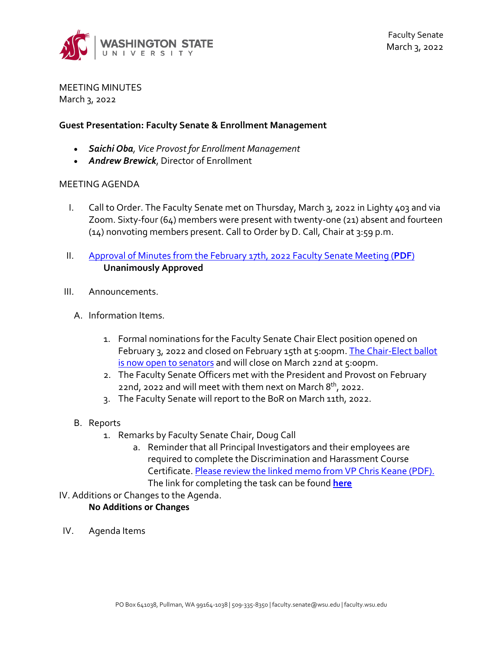

MEETING MINUTES March 3, 2022

### **Guest Presentation: Faculty Senate & Enrollment Management**

- *Saichi Oba, Vice Provost for Enrollment Management*
- *Andrew Brewick*, Director of Enrollment

#### MEETING AGENDA

- I. Call to Order. The Faculty Senate met on Thursday, March 3, 2022 in Lighty 403 and via Zoom. Sixty-four (64) members were present with twenty-one (21) absent and fourteen (14) nonvoting members present. Call to Order by D. Call, Chair at 3:59 p.m.
- II. [Approval of Minutes from the February 17th, 2022 Faculty Senate Meeting \(](https://s3.wp.wsu.edu/uploads/sites/2135/2022/03/FSM-02.17.22Minutes-.pdf)**PDF**) **Unanimously Approved**
- III. Announcements.
	- A. Information Items.
		- 1. Formal nominations for the Faculty Senate Chair Elect position opened on February 3, 2022 and closed on February 15th at 5:00pm. The Chair-Elect ballot [is now open to senators](https://facsen.wsu.edu/2022-2023-faculty-senate-chair-elect-nomination/) and will close on March 22nd at 5:00pm.
		- 2. The Faculty Senate Officers met with the President and Provost on February 22nd, 2022 and will meet with them next on March  $8<sup>th</sup>$ , 2022.
		- 3. The Faculty Senate will report to the BoR on March 11th, 2022.
	- B. Reports
		- 1. Remarks by Faculty Senate Chair, Doug Call
			- a. Reminder that all Principal Investigators and their employees are required to complete the Discrimination and Harassment Course Certificate[. Please review the linked memo from VP Chris Keane \(PDF\).](https://s3.wp.wsu.edu/uploads/sites/2135/2022/02/Harassment-Memo_Final_01-26-202298.pdf)  The link for completing the task can be found **[here](https://myresearch.wsu.edu/training/harassmentreport)**
- IV. Additions or Changes to the Agenda.

## **No Additions or Changes**

IV. Agenda Items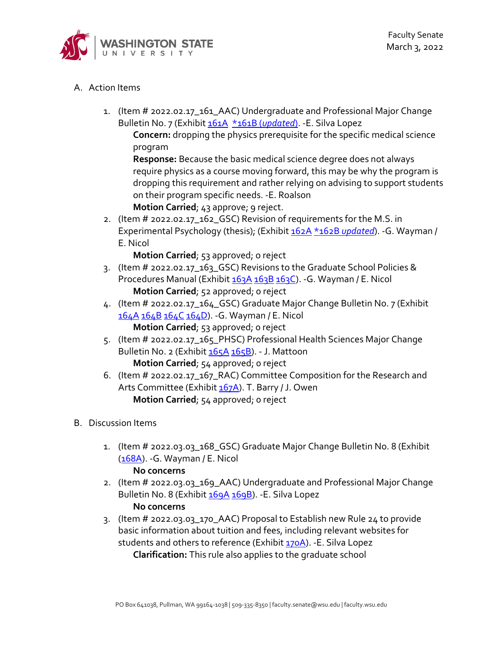

# A. Action Items

1. (Item # 2022.02.17\_161\_AAC) Undergraduate and Professional Major Change Bulletin No. 7 (Exhibit [161A](https://s3.wp.wsu.edu/uploads/sites/2135/2022/02/161A-upmcb-7-courses.pdf) \*161B (*[updated](https://s3.wp.wsu.edu/uploads/sites/2135/2022/02/UPMCB71.pdf)*). -E. Silva Lopez

**Concern:** dropping the physics prerequisite for the specific medical science program

**Response:** Because the basic medical science degree does not always require physics as a course moving forward, this may be why the program is dropping this requirement and rather relying on advising to support students on their program specific needs. -E. Roalson

**Motion Carried**; 43 approve; 9 reject.

2. (Item # 2022.02.17\_162\_GSC) Revision of requirements for the M.S. in Experimental Psychology (thesis); (Exhibit [162A](https://s3.wp.wsu.edu/uploads/sites/2135/2022/02/162A1.pdf) \*162B *[updated](https://s3.wp.wsu.edu/uploads/sites/2135/2022/02/162B1-1.pdf)*). -G. Wayman / E. Nicol

**Motion Carried**; 53 approved; o reject

- 3. (Item # 2022.02.17\_163\_GSC) Revisions to the Graduate School Policies & Procedures Manual (Exhibit [163A](https://s3.wp.wsu.edu/uploads/sites/2135/2022/02/163A1.pdf) [163B](https://s3.wp.wsu.edu/uploads/sites/2135/2022/02/163B1.pdf) [163C\)](https://s3.wp.wsu.edu/uploads/sites/2135/2022/02/2022-21.pdf). - G. Wayman / E. Nicol **Motion Carried**; 52 approved; 0 reject
- 4. (Item # 2022.02.17\_164\_GSC) Graduate Major Change Bulletin No. 7 (Exhibit [164A](https://s3.wp.wsu.edu/uploads/sites/2135/2022/02/164A-GMCB-7.pdf) [164B](https://s3.wp.wsu.edu/uploads/sites/2135/2022/02/164B1.pdf) [164C](https://s3.wp.wsu.edu/uploads/sites/2135/2022/02/164C1.pdf) [164D\)](https://s3.wp.wsu.edu/uploads/sites/2135/2022/02/164D1.pdf). - G. Wayman / E. Nicol **Motion Carried**; 53 approved; o reject
- 5. (Item # 2022.02.17\_165\_PHSC) Professional Health Sciences Major Change Bulletin No. 2 (Exhibit [165A](https://s3.wp.wsu.edu/uploads/sites/2135/2022/02/165A-PHSMCB-2-courses.pdf) [165B\)](https://s3.wp.wsu.edu/uploads/sites/2135/2022/02/165B-PHSMCB-2-requirements.pdf). - J. Mattoon **Motion Carried**; 54 approved; o reject
- 6. (Item # 2022.02.17\_167\_RAC) Committee Composition for the Research and Arts Committee (Exhibi[t 167A\)](https://s3.wp.wsu.edu/uploads/sites/2135/2022/02/02-10-1.pdf). T. Barry / J. Owen **Motion Carried**; 54 approved; o reject

## B. Discussion Items

1. (Item # 2022.03.03\_168\_GSC) Graduate Major Change Bulletin No. 8 (Exhibit [\(168A\)](https://s3.wp.wsu.edu/uploads/sites/2135/2022/02/168A-GMCB-8.pdf). -G. Wayman / E. Nicol

#### **No concerns**

- 2. (Item # 2022.03.03\_169\_AAC) Undergraduate and Professional Major Change Bulletin No. 8 (Exhibit [169A](https://s3.wp.wsu.edu/uploads/sites/2135/2022/02/169A-upmcb-8-courses.pdf) [169B\)](https://s3.wp.wsu.edu/uploads/sites/2135/2022/02/169B-upmcb-8-requirements.pdf). - E. Silva Lopez **No concerns**
- 3. (Item # 2022.03.03\_170\_AAC) Proposal to Establish new Rule 24 to provide basic information about tuition and fees, including relevant websites for students and others to reference (Exhibit [170A\)](https://s3.wp.wsu.edu/uploads/sites/2135/2022/02/170A1.pdf). -E. Silva Lopez **Clarification:** This rule also applies to the graduate school